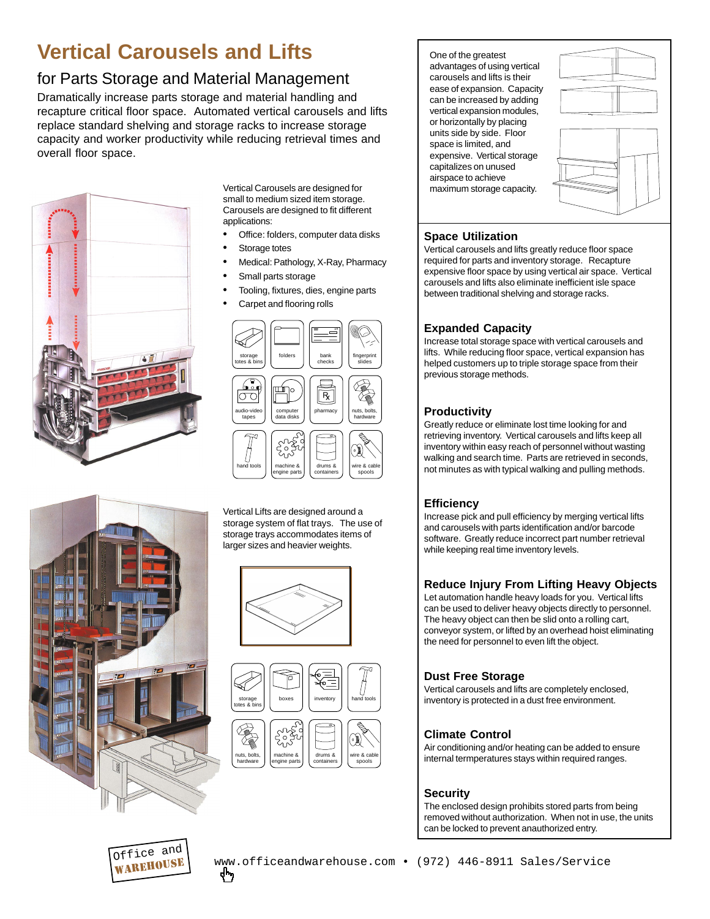# **Vertical Carousels and Lifts**

# for Parts Storage and Material Management

Dramatically increase parts storage and material handling and recapture critical floor space. Automated vertical carousels and lifts replace standard shelving and storage racks to increase storage capacity and worker productivity while reducing retrieval times and overall floor space.



Vertical Carousels are designed for small to medium sized item storage. Carousels are designed to fit different applications:

- Office: folders, computer data disks
- Storage totes
- Medical: Pathology, X-Ray, Pharmacy
- Small parts storage
- Tooling, fixtures, dies, engine parts
- Carpet and flooring rolls



Vertical Lifts are designed around a storage system of flat trays. The use of storage trays accommodates items of larger sizes and heavier weights.







One of the greatest advantages of using vertical carousels and lifts is their ease of expansion. Capacity can be increased by adding vertical expansion modules, or horizontally by placing units side by side. Floor space is limited, and expensive. Vertical storage capitalizes on unused airspace to achieve maximum storage capacity.



#### **Space Utilization**

Vertical carousels and lifts greatly reduce floor space required for parts and inventory storage. Recapture expensive floor space by using vertical air space. Vertical carousels and lifts also eliminate inefficient isle space between traditional shelving and storage racks.

#### **Expanded Capacity**

Increase total storage space with vertical carousels and lifts. While reducing floor space, vertical expansion has helped customers up to triple storage space from their previous storage methods.

#### **Productivity**

Greatly reduce or eliminate lost time looking for and retrieving inventory. Vertical carousels and lifts keep all inventory within easy reach of personnel without wasting walking and search time. Parts are retrieved in seconds, not minutes as with typical walking and pulling methods.

#### **Efficiency**

Increase pick and pull efficiency by merging vertical lifts and carousels with parts identification and/or barcode software. Greatly reduce incorrect part number retrieval while keeping real time inventory levels.

## **Reduce Injury From Lifting Heavy Objects**

Let automation handle heavy loads for you. Vertical lifts can be used to deliver heavy objects directly to personnel. The heavy object can then be slid onto a rolling cart, conveyor system, or lifted by an overhead hoist eliminating the need for personnel to even lift the object.

## **Dust Free Storage**

Vertical carousels and lifts are completely enclosed, inventory is protected in a dust free environment.

## **Climate Control**

Air conditioning and/or heating can be added to ensure internal termperatures stays within required ranges.

## **Security**

The enclosed design prohibits stored parts from being removed without authorization. When not in use, the units can be locked to prevent anauthorized entry.